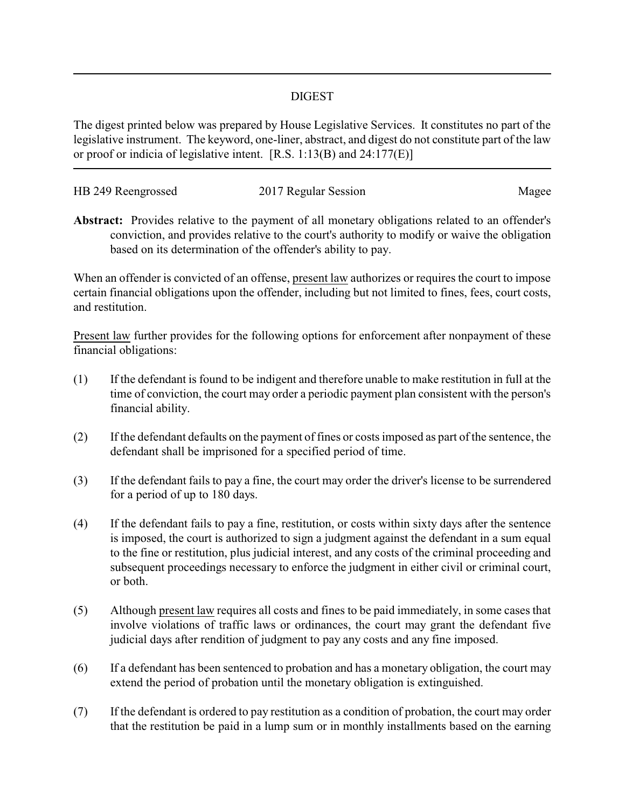## DIGEST

The digest printed below was prepared by House Legislative Services. It constitutes no part of the legislative instrument. The keyword, one-liner, abstract, and digest do not constitute part of the law or proof or indicia of legislative intent. [R.S. 1:13(B) and 24:177(E)]

| HB 249 Reengrossed | 2017 Regular Session | Magee |
|--------------------|----------------------|-------|
|                    |                      |       |

**Abstract:** Provides relative to the payment of all monetary obligations related to an offender's conviction, and provides relative to the court's authority to modify or waive the obligation based on its determination of the offender's ability to pay.

When an offender is convicted of an offense, present law authorizes or requires the court to impose certain financial obligations upon the offender, including but not limited to fines, fees, court costs, and restitution.

Present law further provides for the following options for enforcement after nonpayment of these financial obligations:

- (1) If the defendant is found to be indigent and therefore unable to make restitution in full at the time of conviction, the court may order a periodic payment plan consistent with the person's financial ability.
- (2) If the defendant defaults on the payment of fines or costs imposed as part of the sentence, the defendant shall be imprisoned for a specified period of time.
- (3) If the defendant fails to pay a fine, the court may order the driver's license to be surrendered for a period of up to 180 days.
- (4) If the defendant fails to pay a fine, restitution, or costs within sixty days after the sentence is imposed, the court is authorized to sign a judgment against the defendant in a sum equal to the fine or restitution, plus judicial interest, and any costs of the criminal proceeding and subsequent proceedings necessary to enforce the judgment in either civil or criminal court, or both.
- (5) Although present law requires all costs and fines to be paid immediately, in some cases that involve violations of traffic laws or ordinances, the court may grant the defendant five judicial days after rendition of judgment to pay any costs and any fine imposed.
- (6) If a defendant has been sentenced to probation and has a monetary obligation, the court may extend the period of probation until the monetary obligation is extinguished.
- (7) If the defendant is ordered to pay restitution as a condition of probation, the court may order that the restitution be paid in a lump sum or in monthly installments based on the earning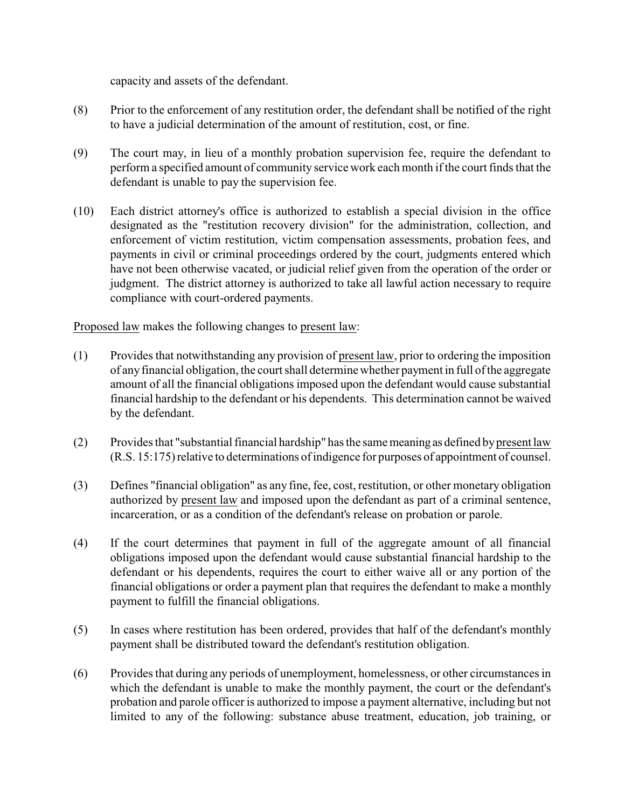capacity and assets of the defendant.

- (8) Prior to the enforcement of any restitution order, the defendant shall be notified of the right to have a judicial determination of the amount of restitution, cost, or fine.
- (9) The court may, in lieu of a monthly probation supervision fee, require the defendant to perform a specified amount of community service work each month if the court finds that the defendant is unable to pay the supervision fee.
- (10) Each district attorney's office is authorized to establish a special division in the office designated as the "restitution recovery division" for the administration, collection, and enforcement of victim restitution, victim compensation assessments, probation fees, and payments in civil or criminal proceedings ordered by the court, judgments entered which have not been otherwise vacated, or judicial relief given from the operation of the order or judgment. The district attorney is authorized to take all lawful action necessary to require compliance with court-ordered payments.

Proposed law makes the following changes to present law:

- (1) Provides that notwithstanding any provision of present law, prior to ordering the imposition of anyfinancial obligation, the court shall determine whether payment in full of the aggregate amount of all the financial obligations imposed upon the defendant would cause substantial financial hardship to the defendant or his dependents. This determination cannot be waived by the defendant.
- (2) Provides that "substantial financial hardship" has the same meaningas defined bypresent law (R.S. 15:175)relative to determinations of indigence for purposes of appointment of counsel.
- (3) Defines "financial obligation" as any fine, fee, cost, restitution, or other monetary obligation authorized by present law and imposed upon the defendant as part of a criminal sentence, incarceration, or as a condition of the defendant's release on probation or parole.
- (4) If the court determines that payment in full of the aggregate amount of all financial obligations imposed upon the defendant would cause substantial financial hardship to the defendant or his dependents, requires the court to either waive all or any portion of the financial obligations or order a payment plan that requires the defendant to make a monthly payment to fulfill the financial obligations.
- (5) In cases where restitution has been ordered, provides that half of the defendant's monthly payment shall be distributed toward the defendant's restitution obligation.
- (6) Provides that during any periods of unemployment, homelessness, or other circumstances in which the defendant is unable to make the monthly payment, the court or the defendant's probation and parole officer is authorized to impose a payment alternative, including but not limited to any of the following: substance abuse treatment, education, job training, or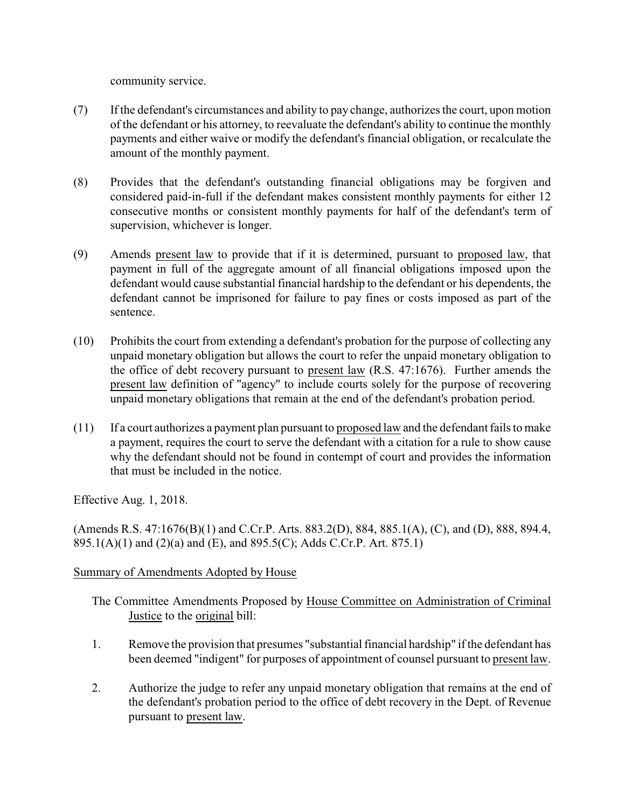community service.

- (7) If the defendant's circumstances and ability to pay change, authorizes the court, upon motion of the defendant or his attorney, to reevaluate the defendant's ability to continue the monthly payments and either waive or modify the defendant's financial obligation, or recalculate the amount of the monthly payment.
- (8) Provides that the defendant's outstanding financial obligations may be forgiven and considered paid-in-full if the defendant makes consistent monthly payments for either 12 consecutive months or consistent monthly payments for half of the defendant's term of supervision, whichever is longer.
- (9) Amends present law to provide that if it is determined, pursuant to proposed law, that payment in full of the aggregate amount of all financial obligations imposed upon the defendant would cause substantial financial hardship to the defendant or his dependents, the defendant cannot be imprisoned for failure to pay fines or costs imposed as part of the sentence.
- (10) Prohibits the court from extending a defendant's probation for the purpose of collecting any unpaid monetary obligation but allows the court to refer the unpaid monetary obligation to the office of debt recovery pursuant to present law (R.S. 47:1676). Further amends the present law definition of "agency" to include courts solely for the purpose of recovering unpaid monetary obligations that remain at the end of the defendant's probation period.
- (11) If a court authorizes a payment plan pursuant to proposed law and the defendant fails to make a payment, requires the court to serve the defendant with a citation for a rule to show cause why the defendant should not be found in contempt of court and provides the information that must be included in the notice.

Effective Aug. 1, 2018.

(Amends R.S. 47:1676(B)(1) and C.Cr.P. Arts. 883.2(D), 884, 885.1(A), (C), and (D), 888, 894.4, 895.1(A)(1) and (2)(a) and (E), and 895.5(C); Adds C.Cr.P. Art. 875.1)

## Summary of Amendments Adopted by House

- The Committee Amendments Proposed by House Committee on Administration of Criminal Justice to the original bill:
- 1. Remove the provision that presumes "substantial financial hardship" if the defendant has been deemed "indigent" for purposes of appointment of counsel pursuant to present law.
- 2. Authorize the judge to refer any unpaid monetary obligation that remains at the end of the defendant's probation period to the office of debt recovery in the Dept. of Revenue pursuant to present law.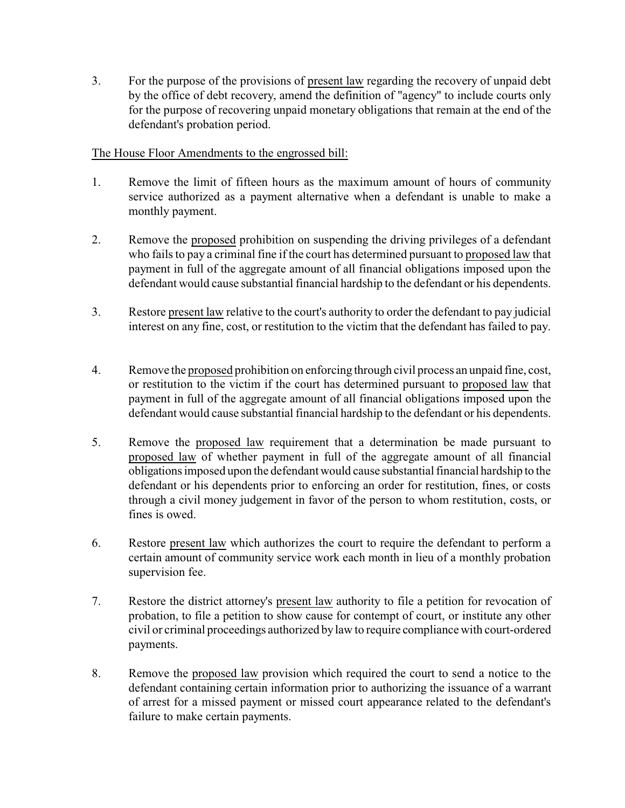3. For the purpose of the provisions of present law regarding the recovery of unpaid debt by the office of debt recovery, amend the definition of "agency" to include courts only for the purpose of recovering unpaid monetary obligations that remain at the end of the defendant's probation period.

## The House Floor Amendments to the engrossed bill:

- 1. Remove the limit of fifteen hours as the maximum amount of hours of community service authorized as a payment alternative when a defendant is unable to make a monthly payment.
- 2. Remove the proposed prohibition on suspending the driving privileges of a defendant who fails to pay a criminal fine if the court has determined pursuant to proposed law that payment in full of the aggregate amount of all financial obligations imposed upon the defendant would cause substantial financial hardship to the defendant or his dependents.
- 3. Restore present law relative to the court's authority to order the defendant to pay judicial interest on any fine, cost, or restitution to the victim that the defendant has failed to pay.
- 4. Remove the proposed prohibition on enforcing through civil process an unpaid fine, cost, or restitution to the victim if the court has determined pursuant to proposed law that payment in full of the aggregate amount of all financial obligations imposed upon the defendant would cause substantial financial hardship to the defendant or his dependents.
- 5. Remove the proposed law requirement that a determination be made pursuant to proposed law of whether payment in full of the aggregate amount of all financial obligations imposed upon the defendant would cause substantial financial hardship to the defendant or his dependents prior to enforcing an order for restitution, fines, or costs through a civil money judgement in favor of the person to whom restitution, costs, or fines is owed.
- 6. Restore present law which authorizes the court to require the defendant to perform a certain amount of community service work each month in lieu of a monthly probation supervision fee.
- 7. Restore the district attorney's present law authority to file a petition for revocation of probation, to file a petition to show cause for contempt of court, or institute any other civil or criminal proceedings authorized bylaw to require compliance with court-ordered payments.
- 8. Remove the proposed law provision which required the court to send a notice to the defendant containing certain information prior to authorizing the issuance of a warrant of arrest for a missed payment or missed court appearance related to the defendant's failure to make certain payments.